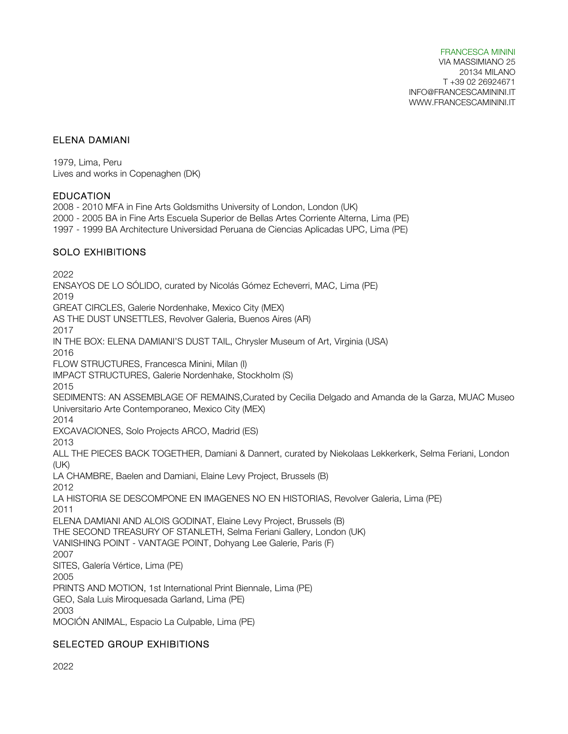#### ELENA DAMIANI

1979, Lima, Peru Lives and works in Copenaghen (DK)

#### **EDUCATION**

2008 - 2010 MFA in Fine Arts Goldsmiths University of London, London (UK) 2000 - 2005 BA in Fine Arts Escuela Superior de Bellas Artes Corriente Alterna, Lima (PE) 1997 - 1999 BA Architecture Universidad Peruana de Ciencias Aplicadas UPC, Lima (PE) SOLO EXHIBITIONS

2022 ENSAYOS DE LO SÓLIDO, curated by Nicolás Gómez Echeverri, MAC, Lima (PE) 2019 GREAT CIRCLES, Galerie Nordenhake, Mexico City (MEX) AS THE DUST UNSETTLES, Revolver Galeria, Buenos Aires (AR) 2017 IN THE BOX: ELENA DAMIANI'S DUST TAIL, Chrysler Museum of Art, Virginia (USA) 2016 FLOW STRUCTURES, Francesca Minini, Milan (I) IMPACT STRUCTURES, Galerie Nordenhake, Stockholm (S) 2015 SEDIMENTS: AN ASSEMBLAGE OF REMAINS,Curated by Cecilia Delgado and Amanda de la Garza, MUAC Museo Universitario Arte Contemporaneo, Mexico City (MEX) 2014 EXCAVACIONES, Solo Projects ARCO, Madrid (ES) 2013 ALL THE PIECES BACK TOGETHER, Damiani & Dannert, curated by Niekolaas Lekkerkerk, Selma Feriani, London (UK) LA CHAMBRE, Baelen and Damiani, Elaine Levy Project, Brussels (B) 2012 LA HISTORIA SE DESCOMPONE EN IMAGENES NO EN HISTORIAS, Revolver Galeria, Lima (PE) 2011 ELENA DAMIANI AND ALOIS GODINAT, Elaine Levy Project, Brussels (B) THE SECOND TREASURY OF STANLETH, Selma Feriani Gallery, London (UK) VANISHING POINT - VANTAGE POINT, Dohyang Lee Galerie, Paris (F) 2007 SITES, Galería Vértice, Lima (PE) 2005 PRINTS AND MOTION, 1st International Print Biennale, Lima (PE) GEO, Sala Luis Miroquesada Garland, Lima (PE) 2003 MOCIÓN ANIMAL, Espacio La Culpable, Lima (PE)

# SELECTED GROUP EXHIBITIONS

2022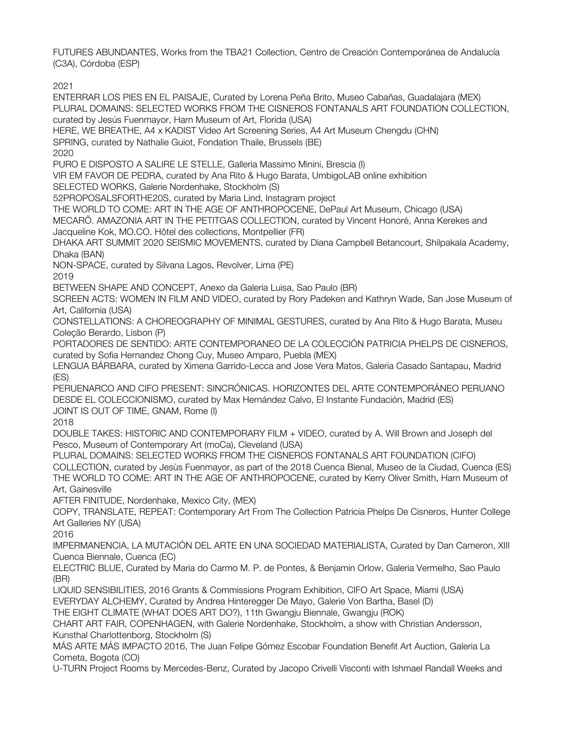FUTURES ABUNDANTES, Works from the TBA21 Collection, Centro de Creación Contemporánea de Andalucía (C3A), Córdoba (ESP)

2021

ENTERRAR LOS PIES EN EL PAISAJE, Curated by Lorena Peña Brito, Museo Cabañas, Guadalajara (MEX) PLURAL DOMAINS: SELECTED WORKS FROM THE CISNEROS FONTANALS ART FOUNDATION COLLECTION, curated by Jesús Fuenmayor, Harn Museum of Art, Florida (USA) HERE, WE BREATHE, A4 x KADIST Video Art Screening Series, A4 Art Museum Chengdu (CHN) SPRING, curated by Nathalie Guiot, Fondation Thaile, Brussels (BE) 2020 PURO E DISPOSTO A SALIRE LE STELLE, Galleria Massimo Minini, Brescia (I) VIR EM FAVOR DE PEDRA, curated by Ana Rito & Hugo Barata, UmbigoLAB online exhibition SELECTED WORKS, Galerie Nordenhake, Stockholm (S) 52PROPOSALSFORTHE20S, curated by Maria Lind, Instagram project THE WORLD TO COME: ART IN THE AGE OF ANTHROPOCENE, DePaul Art Museum, Chicago (USA) MECARÕ. AMAZONIA ART IN THE PETITGAS COLLECTION, curated by Vincent Honoré, Anna Kerekes and Jacqueline Kok, MO.CO. Hôtel des collections, Montpellier (FR) DHAKA ART SUMMIT 2020 SEISMIC MOVEMENTS, curated by Diana Campbell Betancourt, Shilpakala Academy, Dhaka (BAN) NON-SPACE, curated by Silvana Lagos, Revolver, Lima (PE) 2019 BETWEEN SHAPE AND CONCEPT, Anexo da Galeria Luisa, Sao Paulo (BR) SCREEN ACTS: WOMEN IN FILM AND VIDEO, curated by Rory Padeken and Kathryn Wade, San Jose Museum of Art, California (USA) CONSTELLATIONS: A CHOREOGRAPHY OF MINIMAL GESTURES, curated by Ana Rito & Hugo Barata, Museu Coleção Berardo, Lisbon (P) PORTADORES DE SENTIDO: ARTE CONTEMPORANEO DE LA COLECCIÓN PATRICIA PHELPS DE CISNEROS, curated by Sofia Hernandez Chong Cuy, Museo Amparo, Puebla (MEX) LENGUA BÁRBARA, curated by Ximena Garrido-Lecca and Jose Vera Matos, Galeria Casado Santapau, Madrid (ES) PERUENARCO AND CIFO PRESENT: SINCRÓNICAS. HORIZONTES DEL ARTE CONTEMPORÁNEO PERUANO DESDE EL COLECCIONISMO, curated by Max Hernández Calvo, El Instante Fundación, Madrid (ES) JOINT IS OUT OF TIME, GNAM, Rome (I) 2018 DOUBLE TAKES: HISTORIC AND CONTEMPORARY FILM + VIDEO, curated by A. Will Brown and Joseph del Pesco, Museum of Contemporary Art (moCa), Cleveland (USA) PLURAL DOMAINS: SELECTED WORKS FROM THE CISNEROS FONTANALS ART FOUNDATION (CIFO) COLLECTION, curated by Jesùs Fuenmayor, as part of the 2018 Cuenca Bienal, Museo de la Ciudad, Cuenca (ES) THE WORLD TO COME: ART IN THE AGE OF ANTHROPOCENE, curated by Kerry Oliver Smith, Harn Museum of Art, Gainesville AFTER FINITUDE, Nordenhake, Mexico City, (MEX) COPY, TRANSLATE, REPEAT: Contemporary Art From The Collection Patricia Phelps De Cisneros, Hunter College Art Galleries NY (USA) 2016 IMPERMANENCIA, LA MUTACIÓN DEL ARTE EN UNA SOCIEDAD MATERIALISTA, Curated by Dan Cameron, XIII Cuenca Biennale, Cuenca (EC) ELECTRIC BLUE, Curated by Maria do Carmo M. P. de Pontes, & Benjamin Orlow, Galeria Vermelho, Sao Paulo (BR) LIQUID SENSIBILITIES, 2016 Grants & Commissions Program Exhibition, CIFO Art Space, Miami (USA) EVERYDAY ALCHEMY, Curated by Andrea Hinteregger De Mayo, Galerie Von Bartha, Basel (D) THE EIGHT CLIMATE (WHAT DOES ART DO?), 11th Gwangju Biennale, Gwangju (ROK) CHART ART FAIR, COPENHAGEN, with Galerie Nordenhake, Stockholm, a show with Christian Andersson, Kunsthal Charlottenborg, Stockholm (S) MÁS ARTE MÁS IMPACTO 2016, The Juan Felipe Gómez Escobar Foundation Benefit Art Auction, Galeria La Cometa, Bogota (CO) U-TURN Project Rooms by Mercedes-Benz, Curated by Jacopo Crivelli Visconti with Ishmael Randall Weeks and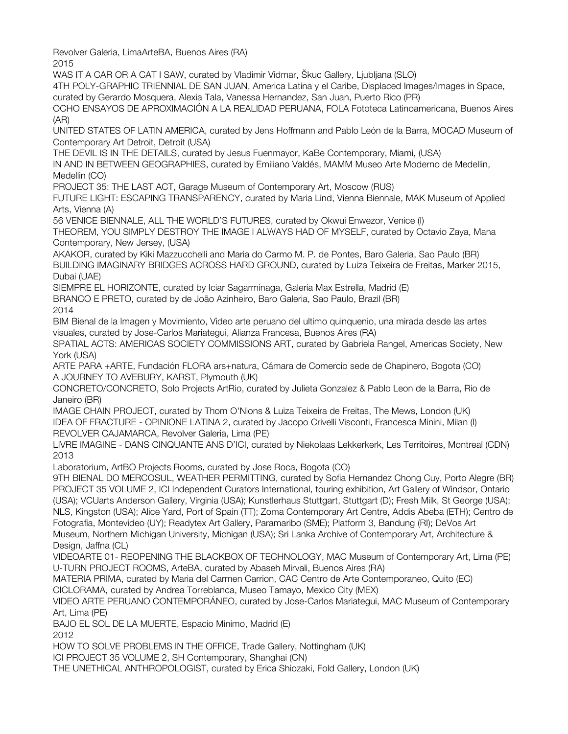Revolver Galeria, LimaArteBA, Buenos Aires (RA)

2015

WAS IT A CAR OR A CAT I SAW, curated by Vladimir Vidmar, Škuc Gallery, Ljubljana (SLO)

4TH POLY-GRAPHIC TRIENNIAL DE SAN JUAN, America Latina y el Caribe, Displaced Images/Images in Space,

curated by Gerardo Mosquera, Alexia Tala, Vanessa Hernandez, San Juan, Puerto Rico (PR)

OCHO ENSAYOS DE APROXIMACIÓN A LA REALIDAD PERUANA, FOLA Fototeca Latinoamericana, Buenos Aires (AR)

UNITED STATES OF LATIN AMERICA, curated by Jens Hoffmann and Pablo León de la Barra, MOCAD Museum of Contemporary Art Detroit, Detroit (USA)

THE DEVIL IS IN THE DETAILS, curated by Jesus Fuenmayor, KaBe Contemporary, Miami, (USA)

IN AND IN BETWEEN GEOGRAPHIES, curated by Emiliano Valdés, MAMM Museo Arte Moderno de Medellin, Medellin (CO)

PROJECT 35: THE LAST ACT, Garage Museum of Contemporary Art, Moscow (RUS)

FUTURE LIGHT: ESCAPING TRANSPARENCY, curated by Maria Lind, Vienna Biennale, MAK Museum of Applied Arts, Vienna (A)

56 VENICE BIENNALE, ALL THE WORLD'S FUTURES, curated by Okwui Enwezor, Venice (I)

THEOREM, YOU SIMPLY DESTROY THE IMAGE I ALWAYS HAD OF MYSELF, curated by Octavio Zaya, Mana Contemporary, New Jersey, (USA)

AKAKOR, curated by Kiki Mazzucchelli and Maria do Carmo M. P. de Pontes, Baro Galeria, Sao Paulo (BR) BUILDING IMAGINARY BRIDGES ACROSS HARD GROUND, curated by Luiza Teixeira de Freitas, Marker 2015, Dubai (UAE)

SIEMPRE EL HORIZONTE, curated by Iciar Sagarminaga, Galería Max Estrella, Madrid (E)

BRANCO E PRETO, curated by de João Azinheiro, Baro Galeria, Sao Paulo, Brazil (BR)

2014

BIM Bienal de la Imagen y Movimiento, Video arte peruano del ultimo quinquenio, una mirada desde las artes visuales, curated by Jose-Carlos Mariategui, Alianza Francesa, Buenos Aires (RA)

SPATIAL ACTS: AMERICAS SOCIETY COMMISSIONS ART, curated by Gabriela Rangel, Americas Society, New York (USA)

ARTE PARA +ARTE, Fundación FLORA ars+natura, Cámara de Comercio sede de Chapinero, Bogota (CO) A JOURNEY TO AVEBURY, KARST, Plymouth (UK)

CONCRETO/CONCRETO, Solo Projects ArtRio, curated by Julieta Gonzalez & Pablo Leon de la Barra, Rio de Janeiro (BR)

IMAGE CHAIN PROJECT, curated by Thom O'Nions & Luiza Teixeira de Freitas, The Mews, London (UK) IDEA OF FRACTURE - OPINIONE LATINA 2, curated by Jacopo Crivelli Visconti, Francesca Minini, Milan (I) REVOLVER CAJAMARCA, Revolver Galeria, Lima (PE)

LIVRE IMAGINE - DANS CINQUANTE ANS D'ICI, curated by Niekolaas Lekkerkerk, Les Territoires, Montreal (CDN) 2013

Laboratorium, ArtBO Projects Rooms, curated by Jose Roca, Bogota (CO)

9TH BIENAL DO MERCOSUL, WEATHER PERMITTING, curated by Sofia Hernandez Chong Cuy, Porto Alegre (BR) PROJECT 35 VOLUME 2, ICI Independent Curators International, touring exhibition, Art Gallery of Windsor, Ontario (USA); VCUarts Anderson Gallery, Virginia (USA); Kunstlerhaus Stuttgart, Stuttgart (D); Fresh Milk, St George (USA); NLS, Kingston (USA); Alice Yard, Port of Spain (TT); Zoma Contemporary Art Centre, Addis Abeba (ETH); Centro de Fotografia, Montevideo (UY); Readytex Art Gallery, Paramaribo (SME); Platform 3, Bandung (RI); DeVos Art Museum, Northern Michigan University, Michigan (USA); Sri Lanka Archive of Contemporary Art, Architecture & Design, Jaffna (CL)

VIDEOARTE 01- REOPENING THE BLACKBOX OF TECHNOLOGY, MAC Museum of Contemporary Art, Lima (PE) U-TURN PROJECT ROOMS, ArteBA, curated by Abaseh Mirvali, Buenos Aires (RA)

MATERIA PRIMA, curated by Maria del Carmen Carrion, CAC Centro de Arte Contemporaneo, Quito (EC)

CICLORAMA, curated by Andrea Torreblanca, Museo Tamayo, Mexico City (MEX)

VIDEO ARTE PERUANO CONTEMPORÁNEO, curated by Jose-Carlos Mariategui, MAC Museum of Contemporary Art, Lima (PE)

BAJO EL SOL DE LA MUERTE, Espacio Minimo, Madrid (E)

2012

HOW TO SOLVE PROBLEMS IN THE OFFICE, Trade Gallery, Nottingham (UK)

ICI PROJECT 35 VOLUME 2, SH Contemporary, Shanghai (CN)

THE UNETHICAL ANTHROPOLOGIST, curated by Erica Shiozaki, Fold Gallery, London (UK)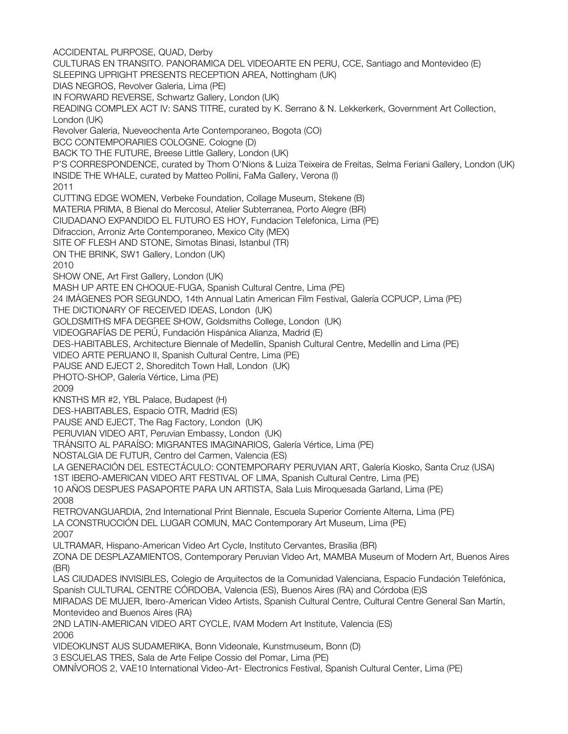ACCIDENTAL PURPOSE, QUAD, Derby CULTURAS EN TRANSITO. PANORAMICA DEL VIDEOARTE EN PERU, CCE, Santiago and Montevideo (E) SLEEPING UPRIGHT PRESENTS RECEPTION AREA, Nottingham (UK) DIAS NEGROS, Revolver Galeria, Lima (PE) IN FORWARD REVERSE, Schwartz Gallery, London (UK) READING COMPLEX ACT IV: SANS TITRE, curated by K. Serrano & N. Lekkerkerk, Government Art Collection, London (UK) Revolver Galeria, Nueveochenta Arte Contemporaneo, Bogota (CO) BCC CONTEMPORARIES COLOGNE. Cologne (D) BACK TO THE FUTURE, Breese Little Gallery, London (UK) P'S CORRESPONDENCE, curated by Thom O'Nions & Luiza Teixeira de Freitas, Selma Feriani Gallery, London (UK) INSIDE THE WHALE, curated by Matteo Pollini, FaMa Gallery, Verona (I) 2011 CUTTING EDGE WOMEN, Verbeke Foundation, Collage Museum, Stekene (B) MATERIA PRIMA, 8 Bienal do Mercosul, Atelier Subterranea, Porto Alegre (BR) CIUDADANO EXPANDIDO EL FUTURO ES HOY, Fundacion Telefonica, Lima (PE) Difraccion, Arroniz Arte Contemporaneo, Mexico City (MEX) SITE OF FLESH AND STONE, Simotas Binasi, Istanbul (TR) ON THE BRINK, SW1 Gallery, London (UK) 2010 SHOW ONE, Art First Gallery, London (UK) MASH UP ARTE EN CHOQUE-FUGA, Spanish Cultural Centre, Lima (PE) 24 IMÁGENES POR SEGUNDO, 14th Annual Latin American Film Festival, Galería CCPUCP, Lima (PE) THE DICTIONARY OF RECEIVED IDEAS, London (UK) GOLDSMITHS MFA DEGREE SHOW, Goldsmiths College, London (UK) VIDEOGRAFÍAS DE PERÚ, Fundación Hispánica Alianza, Madrid (E) DES-HABITABLES, Architecture Biennale of Medellín, Spanish Cultural Centre, Medellín and Lima (PE) VIDEO ARTE PERUANO II, Spanish Cultural Centre, Lima (PE) PAUSE AND EJECT 2, Shoreditch Town Hall, London (UK) PHOTO-SHOP, Galería Vértice, Lima (PE) 2009 KNSTHS MR #2, YBL Palace, Budapest (H) DES-HABITABLES, Espacio OTR, Madrid (ES) PAUSE AND EJECT, The Rag Factory, London (UK) PERUVIAN VIDEO ART, Peruvian Embassy, London (UK) TRÁNSITO AL PARAÍSO: MIGRANTES IMAGINARIOS, Galería Vértice, Lima (PE) NOSTALGIA DE FUTUR, Centro del Carmen, Valencia (ES) LA GENERACIÓN DEL ESTECTÁCULO: CONTEMPORARY PERUVIAN ART, Galería Kiosko, Santa Cruz (USA) 1ST IBERO-AMERICAN VIDEO ART FESTIVAL OF LIMA, Spanish Cultural Centre, Lima (PE) 10 AÑOS DESPUES PASAPORTE PARA UN ARTISTA, Sala Luis Miroquesada Garland, Lima (PE) 2008 RETROVANGUARDIA, 2nd International Print Biennale, Escuela Superior Corriente Alterna, Lima (PE) LA CONSTRUCCIÓN DEL LUGAR COMUN, MAC Contemporary Art Museum, Lima (PE) 2007 ULTRAMAR, Hispano-American Video Art Cycle, Instituto Cervantes, Brasilia (BR) ZONA DE DESPLAZAMIENTOS, Contemporary Peruvian Video Art, MAMBA Museum of Modern Art, Buenos Aires (BR) LAS CIUDADES INVISIBLES, Colegio de Arquitectos de la Comunidad Valenciana, Espacio Fundación Telefónica, Spanish CULTURAL CENTRE CÓRDOBA, Valencia (ES), Buenos Aires (RA) and Córdoba (E)S MIRADAS DE MUJER, Ibero-American Video Artists, Spanish Cultural Centre, Cultural Centre General San Martín, Montevideo and Buenos Aires (RA) 2ND LATIN-AMERICAN VIDEO ART CYCLE, IVAM Modern Art Institute, Valencia (ES) 2006 VIDEOKUNST AUS SUDAMERIKA, Bonn Videonale, Kunstmuseum, Bonn (D) 3 ESCUELAS TRES, Sala de Arte Felipe Cossio del Pomar, Lima (PE) OMNÍVOROS 2, VAE10 International Video-Art- Electronics Festival, Spanish Cultural Center, Lima (PE)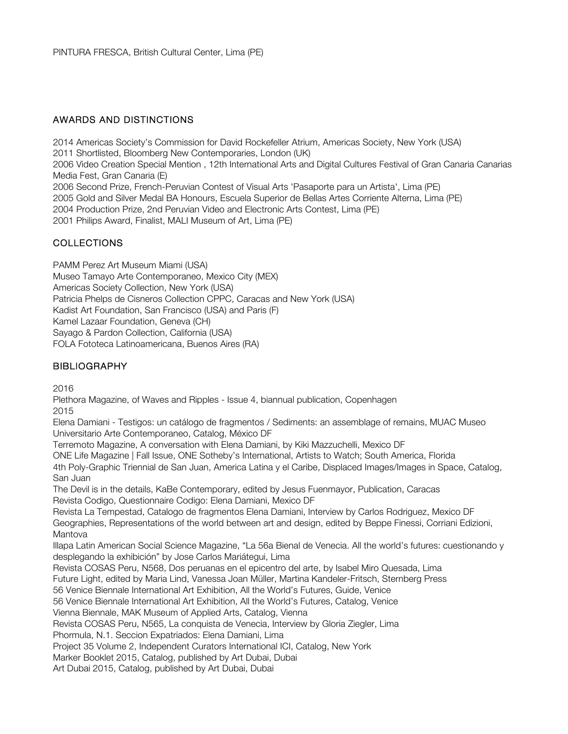## AWARDS AND DISTINCTIONS

2014 Americas Society's Commission for David Rockefeller Atrium, Americas Society, New York (USA) 2011 Shortlisted, Bloomberg New Contemporaries, London (UK) 2006 Video Creation Special Mention , 12th International Arts and Digital Cultures Festival of Gran Canaria Canarias Media Fest, Gran Canaria (E) 2006 Second Prize, French-Peruvian Contest of Visual Arts 'Pasaporte para un Artista', Lima (PE) 2005 Gold and Silver Medal BA Honours, Escuela Superior de Bellas Artes Corriente Alterna, Lima (PE) 2004 Production Prize, 2nd Peruvian Video and Electronic Arts Contest, Lima (PE) 2001 Philips Award, Finalist, MALI Museum of Art, Lima (PE)

# **COLLECTIONS**

PAMM Perez Art Museum Miami (USA) Museo Tamayo Arte Contemporaneo, Mexico City (MEX) Americas Society Collection, New York (USA) Patricia Phelps de Cisneros Collection CPPC, Caracas and New York (USA) Kadist Art Foundation, San Francisco (USA) and Paris (F) Kamel Lazaar Foundation, Geneva (CH) Sayago & Pardon Collection, California (USA) FOLA Fototeca Latinoamericana, Buenos Aires (RA)

## **BIBLIOGRAPHY**

2016

Plethora Magazine, of Waves and Ripples - Issue 4, biannual publication, Copenhagen 2015

Elena Damiani - Testigos: un catálogo de fragmentos / Sediments: an assemblage of remains, MUAC Museo Universitario Arte Contemporaneo, Catalog, México DF

Terremoto Magazine, A conversation with Elena Damiani, by Kiki Mazzuchelli, Mexico DF

ONE Life Magazine | Fall Issue, ONE Sotheby's International, Artists to Watch; South America, Florida

4th Poly-Graphic Triennial de San Juan, America Latina y el Caribe, Displaced Images/Images in Space, Catalog, San Juan

The Devil is in the details, KaBe Contemporary, edited by Jesus Fuenmayor, Publication, Caracas Revista Codigo, Questionnaire Codigo: Elena Damiani, Mexico DF

Revista La Tempestad, Catalogo de fragmentos Elena Damiani, Interview by Carlos Rodriguez, Mexico DF Geographies, Representations of the world between art and design, edited by Beppe Finessi, Corriani Edizioni, Mantova

Illapa Latin American Social Science Magazine, "La 56a Bienal de Venecia. All the world's futures: cuestionando y desplegando la exhibición" by Jose Carlos Mariátegui, Lima

Revista COSAS Peru, N568, Dos peruanas en el epicentro del arte, by Isabel Miro Quesada, Lima

Future Light, edited by Maria Lind, Vanessa Joan Müller, Martina Kandeler-Fritsch, Sternberg Press

56 Venice Biennale International Art Exhibition, All the World's Futures, Guide, Venice

56 Venice Biennale International Art Exhibition, All the World's Futures, Catalog, Venice

Vienna Biennale, MAK Museum of Applied Arts, Catalog, Vienna

Revista COSAS Peru, N565, La conquista de Venecia, Interview by Gloria Ziegler, Lima

Phormula, N.1. Seccion Expatriados: Elena Damiani, Lima

Project 35 Volume 2, Independent Curators International ICI, Catalog, New York

Marker Booklet 2015, Catalog, published by Art Dubai, Dubai

Art Dubai 2015, Catalog, published by Art Dubai, Dubai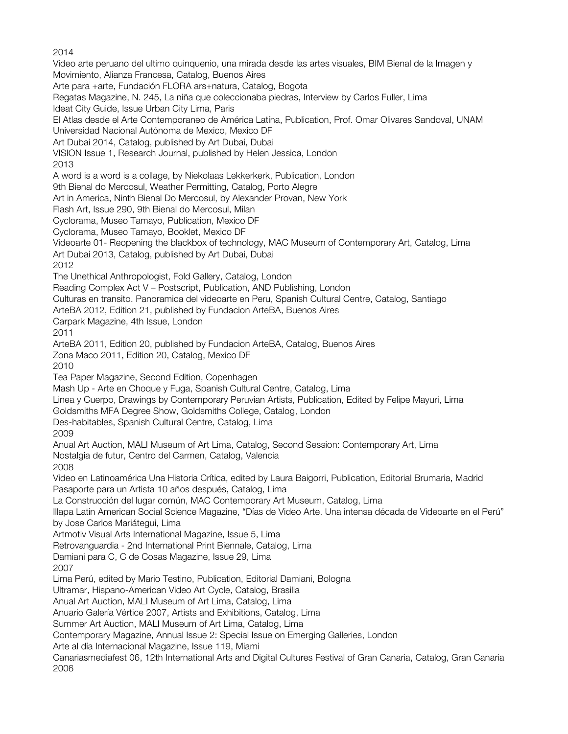2014

Video arte peruano del ultimo quinquenio, una mirada desde las artes visuales, BIM Bienal de la Imagen y Movimiento, Alianza Francesa, Catalog, Buenos Aires Arte para +arte, Fundación FLORA ars+natura, Catalog, Bogota Regatas Magazine, N. 245, La niña que coleccionaba piedras, Interview by Carlos Fuller, Lima Ideat City Guide, Issue Urban City Lima, Paris El Atlas desde el Arte Contemporaneo de América Latína, Publication, Prof. Omar Olivares Sandoval, UNAM Universidad Nacional Autónoma de Mexico, Mexico DF Art Dubai 2014, Catalog, published by Art Dubai, Dubai VISION Issue 1, Research Journal, published by Helen Jessica, London 2013 A word is a word is a collage, by Niekolaas Lekkerkerk, Publication, London 9th Bienal do Mercosul, Weather Permitting, Catalog, Porto Alegre Art in America, Ninth Bienal Do Mercosul, by Alexander Provan, New York Flash Art, Issue 290, 9th Bienal do Mercosul, Milan Cyclorama, Museo Tamayo, Publication, Mexico DF Cyclorama, Museo Tamayo, Booklet, Mexico DF Videoarte 01- Reopening the blackbox of technology, MAC Museum of Contemporary Art, Catalog, Lima Art Dubai 2013, Catalog, published by Art Dubai, Dubai 2012 The Unethical Anthropologist, Fold Gallery, Catalog, London Reading Complex Act V – Postscript, Publication, AND Publishing, London Culturas en transito. Panoramica del videoarte en Peru, Spanish Cultural Centre, Catalog, Santiago ArteBA 2012, Edition 21, published by Fundacion ArteBA, Buenos Aires Carpark Magazine, 4th Issue, London 2011 ArteBA 2011, Edition 20, published by Fundacion ArteBA, Catalog, Buenos Aires Zona Maco 2011, Edition 20, Catalog, Mexico DF 2010 Tea Paper Magazine, Second Edition, Copenhagen Mash Up - Arte en Choque y Fuga, Spanish Cultural Centre, Catalog, Lima Linea y Cuerpo, Drawings by Contemporary Peruvian Artists, Publication, Edited by Felipe Mayuri, Lima Goldsmiths MFA Degree Show, Goldsmiths College, Catalog, London Des-habitables, Spanish Cultural Centre, Catalog, Lima 2009 Anual Art Auction, MALI Museum of Art Lima, Catalog, Second Session: Contemporary Art, Lima Nostalgia de futur, Centro del Carmen, Catalog, Valencia 2008 Video en Latinoamérica Una Historia Crítica, edited by Laura Baigorri, Publication, Editorial Brumaria, Madrid Pasaporte para un Artista 10 años después, Catalog, Lima La Construcción del lugar común, MAC Contemporary Art Museum, Catalog, Lima Illapa Latin American Social Science Magazine, "Días de Video Arte. Una intensa década de Videoarte en el Perú" by Jose Carlos Mariátegui, Lima Artmotiv Visual Arts International Magazine, Issue 5, Lima Retrovanguardia - 2nd International Print Biennale, Catalog, Lima Damiani para C, C de Cosas Magazine, Issue 29, Lima 2007 Lima Perú, edited by Mario Testino, Publication, Editorial Damiani, Bologna Ultramar, Hispano-American Video Art Cycle, Catalog, Brasilia Anual Art Auction, MALI Museum of Art Lima, Catalog, Lima Anuario Galería Vértice 2007, Artists and Exhibitions, Catalog, Lima Summer Art Auction, MALI Museum of Art Lima, Catalog, Lima Contemporary Magazine, Annual Issue 2: Special Issue on Emerging Galleries, London Arte al día Internacional Magazine, Issue 119, Miami Canariasmediafest 06, 12th International Arts and Digital Cultures Festival of Gran Canaria, Catalog, Gran Canaria 2006